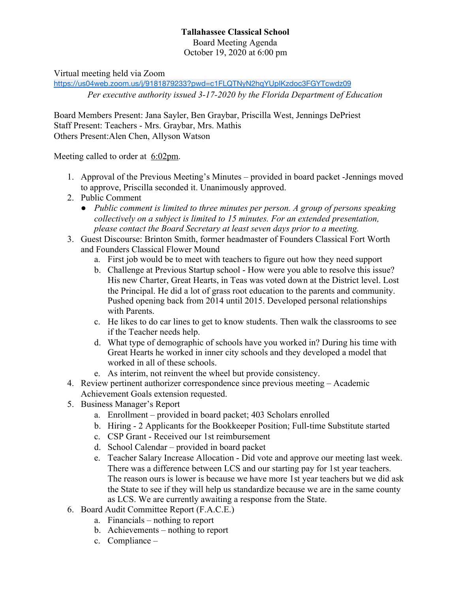## **Tallahassee Classical School** Board Meeting Agenda October 19, 2020 at 6:00 pm

Virtual meeting held via Zoom

<https://us04web.zoom.us/j/9181879233?pwd=c1FLQTNyN2hqYUpIKzdoc3FGYTcwdz09> *Per executive authority issued 3-17-2020 by the Florida Department of Education*

Board Members Present: Jana Sayler, Ben Graybar, Priscilla West, Jennings DePriest Staff Present: Teachers - Mrs. Graybar, Mrs. Mathis Others Present:Alen Chen, Allyson Watson

Meeting called to order at 6:02pm.

- 1. Approval of the Previous Meeting's Minutes provided in board packet -Jennings moved to approve, Priscilla seconded it. Unanimously approved.
- 2. Public Comment
	- *● Public comment is limited to three minutes per person. A group of persons speaking collectively on a subject is limited to 15 minutes. For an extended presentation, please contact the Board Secretary at least seven days prior to a meeting.*
- 3. Guest Discourse: Brinton Smith, former headmaster of Founders Classical Fort Worth and Founders Classical Flower Mound
	- a. First job would be to meet with teachers to figure out how they need support
	- b. Challenge at Previous Startup school How were you able to resolve this issue? His new Charter, Great Hearts, in Teas was voted down at the District level. Lost the Principal. He did a lot of grass root education to the parents and community. Pushed opening back from 2014 until 2015. Developed personal relationships with Parents.
	- c. He likes to do car lines to get to know students. Then walk the classrooms to see if the Teacher needs help.
	- d. What type of demographic of schools have you worked in? During his time with Great Hearts he worked in inner city schools and they developed a model that worked in all of these schools.
	- e. As interim, not reinvent the wheel but provide consistency.
- 4. Review pertinent authorizer correspondence since previous meeting Academic Achievement Goals extension requested.
- 5. Business Manager's Report
	- a. Enrollment provided in board packet; 403 Scholars enrolled
	- b. Hiring 2 Applicants for the Bookkeeper Position; Full-time Substitute started
	- c. CSP Grant Received our 1st reimbursement
	- d. School Calendar provided in board packet
	- e. Teacher Salary Increase Allocation Did vote and approve our meeting last week. There was a difference between LCS and our starting pay for 1st year teachers. The reason ours is lower is because we have more 1st year teachers but we did ask the State to see if they will help us standardize because we are in the same county as LCS. We are currently awaiting a response from the State.
- 6. Board Audit Committee Report (F.A.C.E.)
	- a. Financials nothing to report
	- b. Achievements nothing to report
	- c. Compliance –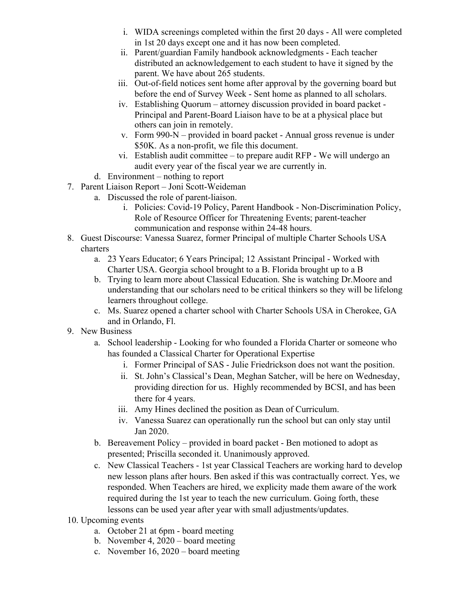- i. WIDA screenings completed within the first 20 days All were completed in 1st 20 days except one and it has now been completed.
- ii. Parent/guardian Family handbook acknowledgments Each teacher distributed an acknowledgement to each student to have it signed by the parent. We have about 265 students.
- iii. Out-of-field notices sent home after approval by the governing board but before the end of Survey Week - Sent home as planned to all scholars.
- iv. Establishing Quorum attorney discussion provided in board packet Principal and Parent-Board Liaison have to be at a physical place but others can join in remotely.
- v. Form 990-N provided in board packet Annual gross revenue is under \$50K. As a non-profit, we file this document.
- vi. Establish audit committee to prepare audit RFP We will undergo an audit every year of the fiscal year we are currently in.
- d. Environment nothing to report
- 7. Parent Liaison Report Joni Scott-Weideman
	- a. Discussed the role of parent-liaison.
		- i. Policies: Covid-19 Policy, Parent Handbook Non-Discrimination Policy, Role of Resource Officer for Threatening Events; parent-teacher communication and response within 24-48 hours.
- 8. Guest Discourse: Vanessa Suarez, former Principal of multiple Charter Schools USA charters
	- a. 23 Years Educator; 6 Years Principal; 12 Assistant Principal Worked with Charter USA. Georgia school brought to a B. Florida brought up to a B
	- b. Trying to learn more about Classical Education. She is watching Dr.Moore and understanding that our scholars need to be critical thinkers so they will be lifelong learners throughout college.
	- c. Ms. Suarez opened a charter school with Charter Schools USA in Cherokee, GA and in Orlando, Fl.
- 9. New Business
	- a. School leadership Looking for who founded a Florida Charter or someone who has founded a Classical Charter for Operational Expertise
		- i. Former Principal of SAS Julie Friedrickson does not want the position.
		- ii. St. John's Classical's Dean, Meghan Satcher, will be here on Wednesday, providing direction for us. Highly recommended by BCSI, and has been there for 4 years.
		- iii. Amy Hines declined the position as Dean of Curriculum.
		- iv. Vanessa Suarez can operationally run the school but can only stay until Jan 2020.
	- b. Bereavement Policy provided in board packet Ben motioned to adopt as presented; Priscilla seconded it. Unanimously approved.
	- c. New Classical Teachers 1st year Classical Teachers are working hard to develop new lesson plans after hours. Ben asked if this was contractually correct. Yes, we responded. When Teachers are hired, we explicity made them aware of the work required during the 1st year to teach the new curriculum. Going forth, these lessons can be used year after year with small adjustments/updates.
- 10. Upcoming events
	- a. October 21 at 6pm board meeting
	- b. November 4, 2020 board meeting
	- c. November 16, 2020 board meeting